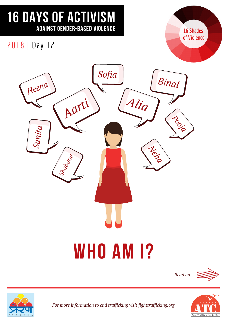## 16 DAYS OF ACTIVISM AGAINST GENDER-BASED VIOLENCE

**16 Shades** of Violence

### 2018 | Day 12





*For more information to end trafficking visit fighttrafficking.org*